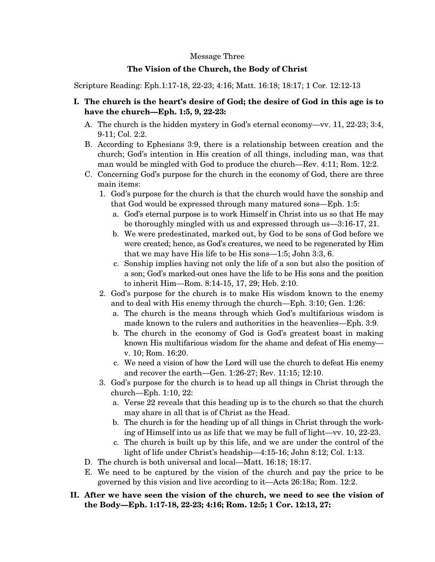## Message Three

## **The Vision of the Church, the Body of Christ**

Scripture Reading: Eph.1:17-18, 22-23; 4:16; Matt. 16:18; 18:17; 1 Cor. 12:12-13

- **I. The church is the heart's desire of God; the desire of God in this age is to have the church—Eph. 1:5, 9, 22-23:** 
	- A. The church is the hidden mystery in God's eternal economy—vv. 11, 22-23; 3:4, 9-11; Col. 2:2.
	- B. According to Ephesians 3:9, there is a relationship between creation and the church; God's intention in His creation of all things, including man, was that man would be mingled with God to produce the church—Rev. 4:11; Rom. 12:2.
	- C. Concerning God's purpose for the church in the economy of God, there are three main items:
		- 1. God's purpose for the church is that the church would have the sonship and that God would be expressed through many matured sons—Eph. 1:5:
			- a. God's eternal purpose is to work Himself in Christ into us so that He may be thoroughly mingled with us and expressed through us—3:16-17, 21.
			- b. We were predestinated, marked out, by God to be sons of God before we were created; hence, as God's creatures, we need to be regenerated by Him that we may have His life to be His sons—1:5; John 3:3, 6.
			- c. Sonship implies having not only the life of a son but also the position of a son; God's marked-out ones have the life to be His sons and the position to inherit Him—Rom. 8:14-15, 17, 29; Heb. 2:10.
		- 2. God's purpose for the church is to make His wisdom known to the enemy and to deal with His enemy through the church—Eph. 3:10; Gen. 1:26:
			- a. The church is the means through which God's multifarious wisdom is made known to the rulers and authorities in the heavenlies—Eph. 3:9.
			- b. The church in the economy of God is God's greatest boast in making known His multifarious wisdom for the shame and defeat of His enemy v. 10; Rom. 16:20.
			- c. We need a vision of how the Lord will use the church to defeat His enemy and recover the earth—Gen. 1:26-27; Rev. 11:15; 12:10.
		- 3. God's purpose for the church is to head up all things in Christ through the church—Eph. 1:10, 22:
			- a. Verse 22 reveals that this heading up is to the church so that the church may share in all that is of Christ as the Head.
			- b. The church is for the heading up of all things in Christ through the working of Himself into us as life that we may be full of light—vv. 10, 22-23.
			- c. The church is built up by this life, and we are under the control of the light of life under Christ's headship—4:15-16; John 8:12; Col. 1:13.
	- D. The church is both universal and local—Matt. 16:18; 18:17.
	- E. We need to be captured by the vision of the church and pay the price to be governed by this vision and live according to it—Acts 26:18a; Rom. 12:2.
- **II. After we have seen the vision of the church, we need to see the vision of the Body—Eph. 1:17-18, 22-23; 4:16; Rom. 12:5; 1 Cor. 12:13, 27:**